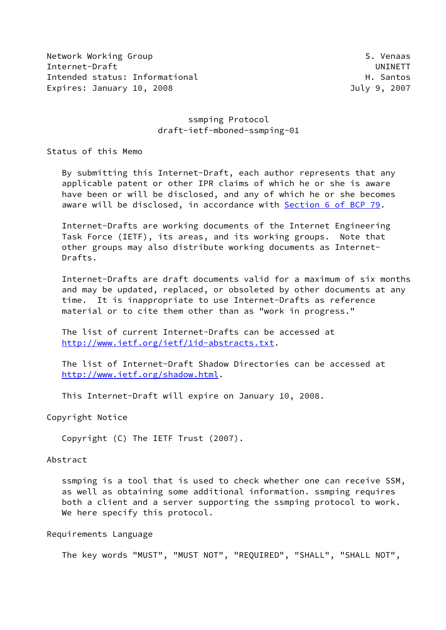Network Working Group S. Venaas Internet-Draft UNINETT Intended status: Informational example and the status of the H. Santos Expires: January 10, 2008 **Internal Contract Contract Contract Contract Contract Contract Contract Contract Contract Contract Contract Contract Contract Contract Contract Contract Contract Contract Contract Contract Contra** 

## ssmping Protocol draft-ietf-mboned-ssmping-01

Status of this Memo

 By submitting this Internet-Draft, each author represents that any applicable patent or other IPR claims of which he or she is aware have been or will be disclosed, and any of which he or she becomes aware will be disclosed, in accordance with Section [6 of BCP 79.](https://datatracker.ietf.org/doc/pdf/bcp79#section-6)

 Internet-Drafts are working documents of the Internet Engineering Task Force (IETF), its areas, and its working groups. Note that other groups may also distribute working documents as Internet- Drafts.

 Internet-Drafts are draft documents valid for a maximum of six months and may be updated, replaced, or obsoleted by other documents at any time. It is inappropriate to use Internet-Drafts as reference material or to cite them other than as "work in progress."

 The list of current Internet-Drafts can be accessed at <http://www.ietf.org/ietf/1id-abstracts.txt>.

 The list of Internet-Draft Shadow Directories can be accessed at <http://www.ietf.org/shadow.html>.

This Internet-Draft will expire on January 10, 2008.

Copyright Notice

Copyright (C) The IETF Trust (2007).

#### Abstract

 ssmping is a tool that is used to check whether one can receive SSM, as well as obtaining some additional information. ssmping requires both a client and a server supporting the ssmping protocol to work. We here specify this protocol.

#### Requirements Language

The key words "MUST", "MUST NOT", "REQUIRED", "SHALL", "SHALL NOT",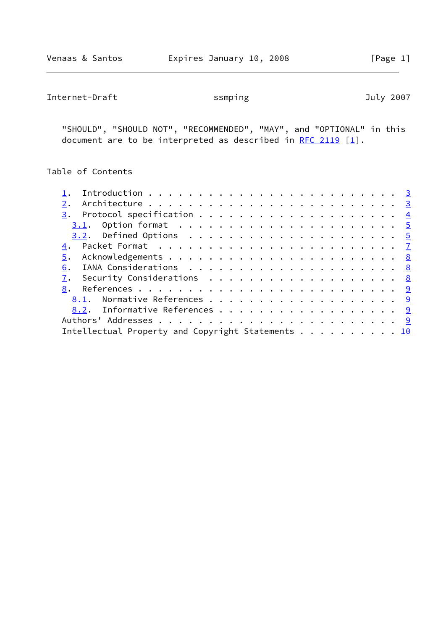Internet-Draft ssmping 3007

 "SHOULD", "SHOULD NOT", "RECOMMENDED", "MAY", and "OPTIONAL" in this document are to be interpreted as described in [RFC 2119](https://datatracker.ietf.org/doc/pdf/rfc2119)  $[1]$  $[1]$ .

# Table of Contents

| 2.                                                |  |
|---------------------------------------------------|--|
|                                                   |  |
|                                                   |  |
|                                                   |  |
|                                                   |  |
| 5.                                                |  |
| 6.                                                |  |
| 7. Security Considerations 8                      |  |
|                                                   |  |
|                                                   |  |
| 8.2. Informative References 9                     |  |
|                                                   |  |
| Intellectual Property and Copyright Statements 10 |  |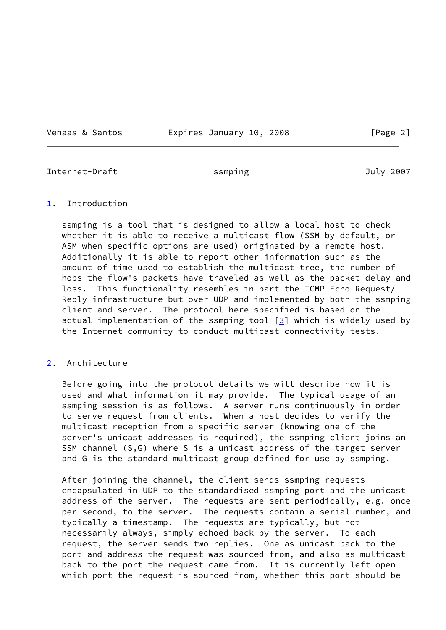Venaas & Santos **Expires January 10, 2008** [Page 2]

<span id="page-2-1"></span>Internet-Draft ssmping July 2007

#### <span id="page-2-0"></span>[1](#page-2-0). Introduction

 ssmping is a tool that is designed to allow a local host to check whether it is able to receive a multicast flow (SSM by default, or ASM when specific options are used) originated by a remote host. Additionally it is able to report other information such as the amount of time used to establish the multicast tree, the number of hops the flow's packets have traveled as well as the packet delay and loss. This functionality resembles in part the ICMP Echo Request/ Reply infrastructure but over UDP and implemented by both the ssmping client and server. The protocol here specified is based on the actual implementation of the ssmping tool [[3\]](#page-9-5) which is widely used by the Internet community to conduct multicast connectivity tests.

## <span id="page-2-2"></span>[2](#page-2-2). Architecture

 Before going into the protocol details we will describe how it is used and what information it may provide. The typical usage of an ssmping session is as follows. A server runs continuously in order to serve request from clients. When a host decides to verify the multicast reception from a specific server (knowing one of the server's unicast addresses is required), the ssmping client joins an SSM channel (S,G) where S is a unicast address of the target server and G is the standard multicast group defined for use by ssmping.

 After joining the channel, the client sends ssmping requests encapsulated in UDP to the standardised ssmping port and the unicast address of the server. The requests are sent periodically, e.g. once per second, to the server. The requests contain a serial number, and typically a timestamp. The requests are typically, but not necessarily always, simply echoed back by the server. To each request, the server sends two replies. One as unicast back to the port and address the request was sourced from, and also as multicast back to the port the request came from. It is currently left open which port the request is sourced from, whether this port should be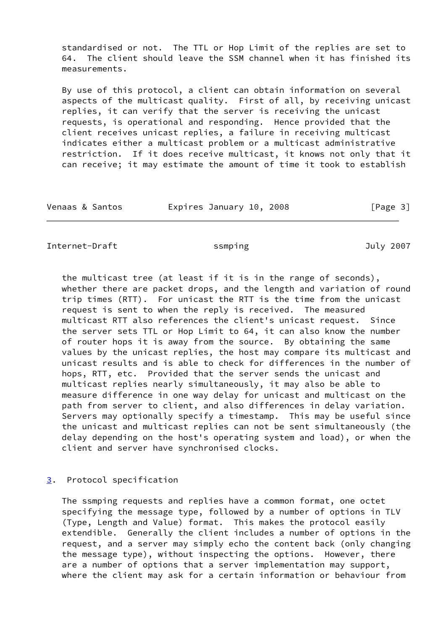standardised or not. The TTL or Hop Limit of the replies are set to 64. The client should leave the SSM channel when it has finished its measurements.

 By use of this protocol, a client can obtain information on several aspects of the multicast quality. First of all, by receiving unicast replies, it can verify that the server is receiving the unicast requests, is operational and responding. Hence provided that the client receives unicast replies, a failure in receiving multicast indicates either a multicast problem or a multicast administrative restriction. If it does receive multicast, it knows not only that it can receive; it may estimate the amount of time it took to establish

| Venaas & Santos |  | Expires January 10, 2008 |  |  | [Page 3] |
|-----------------|--|--------------------------|--|--|----------|
|-----------------|--|--------------------------|--|--|----------|

<span id="page-3-1"></span>Internet-Draft ssmping 3007

 the multicast tree (at least if it is in the range of seconds), whether there are packet drops, and the length and variation of round trip times (RTT). For unicast the RTT is the time from the unicast request is sent to when the reply is received. The measured multicast RTT also references the client's unicast request. Since the server sets TTL or Hop Limit to 64, it can also know the number of router hops it is away from the source. By obtaining the same values by the unicast replies, the host may compare its multicast and unicast results and is able to check for differences in the number of hops, RTT, etc. Provided that the server sends the unicast and multicast replies nearly simultaneously, it may also be able to measure difference in one way delay for unicast and multicast on the path from server to client, and also differences in delay variation. Servers may optionally specify a timestamp. This may be useful since the unicast and multicast replies can not be sent simultaneously (the delay depending on the host's operating system and load), or when the client and server have synchronised clocks.

## <span id="page-3-0"></span>[3](#page-3-0). Protocol specification

 The ssmping requests and replies have a common format, one octet specifying the message type, followed by a number of options in TLV (Type, Length and Value) format. This makes the protocol easily extendible. Generally the client includes a number of options in the request, and a server may simply echo the content back (only changing the message type), without inspecting the options. However, there are a number of options that a server implementation may support, where the client may ask for a certain information or behaviour from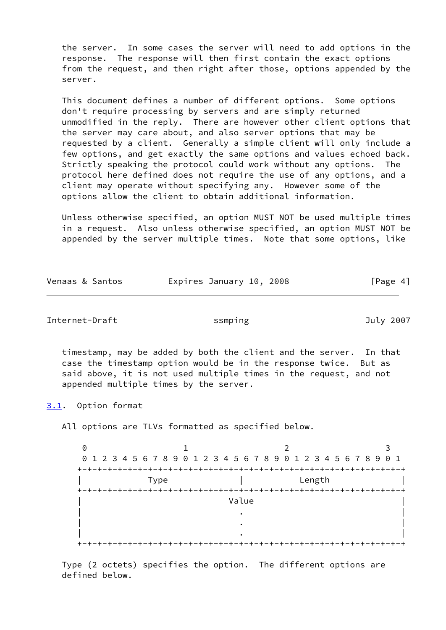the server. In some cases the server will need to add options in the response. The response will then first contain the exact options from the request, and then right after those, options appended by the server.

 This document defines a number of different options. Some options don't require processing by servers and are simply returned unmodified in the reply. There are however other client options that the server may care about, and also server options that may be requested by a client. Generally a simple client will only include a few options, and get exactly the same options and values echoed back. Strictly speaking the protocol could work without any options. The protocol here defined does not require the use of any options, and a client may operate without specifying any. However some of the options allow the client to obtain additional information.

 Unless otherwise specified, an option MUST NOT be used multiple times in a request. Also unless otherwise specified, an option MUST NOT be appended by the server multiple times. Note that some options, like

| Venaas & Santos | Expires January 10, 2008 | [Page 4] |
|-----------------|--------------------------|----------|
|-----------------|--------------------------|----------|

<span id="page-4-1"></span>Internet-Draft ssmping July 2007

 timestamp, may be added by both the client and the server. In that case the timestamp option would be in the response twice. But as said above, it is not used multiple times in the request, and not appended multiple times by the server.

<span id="page-4-0"></span>[3.1](#page-4-0). Option format

All options are TLVs formatted as specified below.

0 1 2 3 0 1 2 3 4 5 6 7 8 9 0 1 2 3 4 5 6 7 8 9 0 1 2 3 4 5 6 7 8 9 0 1 +-+-+-+-+-+-+-+-+-+-+-+-+-+-+-+-+-+-+-+-+-+-+-+-+-+-+-+-+-+-+-+-+ | Type | Length | +-+-+-+-+-+-+-+-+-+-+-+-+-+-+-+-+-+-+-+-+-+-+-+-+-+-+-+-+-+-+-+-+ | **Value** | **Value** | **Value** | **Value** | **Value** | **Value** | **1**  $\blacksquare$  . The contract of the contract of the contract of the contract of the contract of the contract of the contract of the contract of the contract of the contract of the contract of the contract of the contract of the  $\blacksquare$  . The contract of the contract of the contract of the contract of the contract of the contract of the contract of the contract of the contract of the contract of the contract of the contract of the contract of the  $\blacksquare$  . The contract of the contract of the contract of the contract of the contract of the contract of the contract of the contract of the contract of the contract of the contract of the contract of the contract of the +-+-+-+-+-+-+-+-+-+-+-+-+-+-+-+-+-+-+-+-+-+-+-+-+-+-+-+-+-+-+-+-+

 Type (2 octets) specifies the option. The different options are defined below.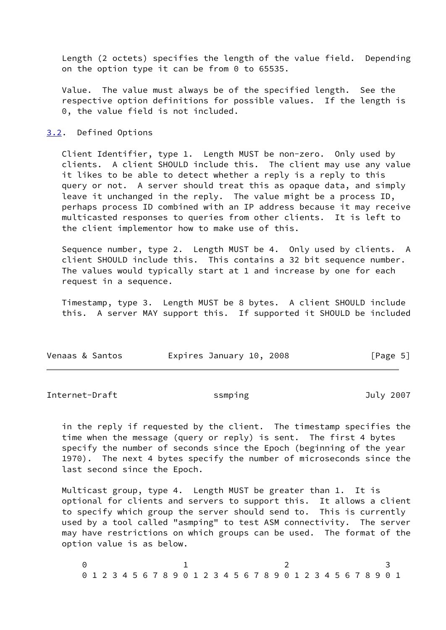Length (2 octets) specifies the length of the value field. Depending on the option type it can be from 0 to 65535.

 Value. The value must always be of the specified length. See the respective option definitions for possible values. If the length is 0, the value field is not included.

#### <span id="page-5-0"></span>[3.2](#page-5-0). Defined Options

 Client Identifier, type 1. Length MUST be non-zero. Only used by clients. A client SHOULD include this. The client may use any value it likes to be able to detect whether a reply is a reply to this query or not. A server should treat this as opaque data, and simply leave it unchanged in the reply. The value might be a process ID, perhaps process ID combined with an IP address because it may receive multicasted responses to queries from other clients. It is left to the client implementor how to make use of this.

 Sequence number, type 2. Length MUST be 4. Only used by clients. A client SHOULD include this. This contains a 32 bit sequence number. The values would typically start at 1 and increase by one for each request in a sequence.

 Timestamp, type 3. Length MUST be 8 bytes. A client SHOULD include this. A server MAY support this. If supported it SHOULD be included

| Venaas & Santos |  | Expires January 10, 2008 |  |  |  | [Page 5] |  |
|-----------------|--|--------------------------|--|--|--|----------|--|
|-----------------|--|--------------------------|--|--|--|----------|--|

Internet-Draft ssmping Sulv 2007

 in the reply if requested by the client. The timestamp specifies the time when the message (query or reply) is sent. The first 4 bytes specify the number of seconds since the Epoch (beginning of the year 1970). The next 4 bytes specify the number of microseconds since the last second since the Epoch.

 Multicast group, type 4. Length MUST be greater than 1. It is optional for clients and servers to support this. It allows a client to specify which group the server should send to. This is currently used by a tool called "asmping" to test ASM connectivity. The server may have restrictions on which groups can be used. The format of the option value is as below.

0 1 2 3 0 1 2 3 4 5 6 7 8 9 0 1 2 3 4 5 6 7 8 9 0 1 2 3 4 5 6 7 8 9 0 1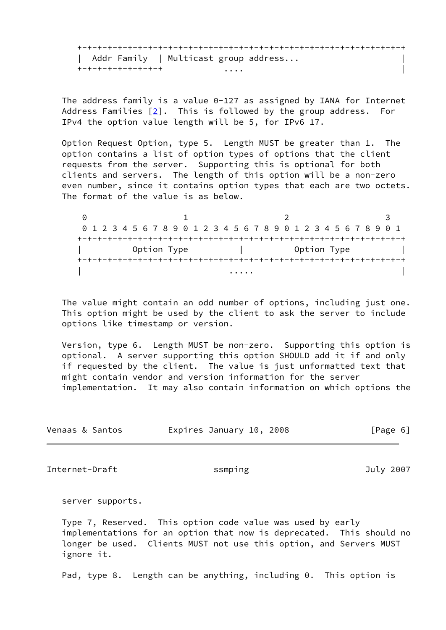+-+-+-+-+-+-+-+-+-+-+-+-+-+-+-+-+-+-+-+-+-+-+-+-+-+-+-+-+-+-+-+-+ | Addr Family | Multicast group address... | +-+-+-+-+-+-+-+-+ .... |

 The address family is a value 0-127 as assigned by IANA for Internet Address Families [\[2\]](#page-9-6). This is followed by the group address. For IPv4 the option value length will be 5, for IPv6 17.

 Option Request Option, type 5. Length MUST be greater than 1. The option contains a list of option types of options that the client requests from the server. Supporting this is optional for both clients and servers. The length of this option will be a non-zero even number, since it contains option types that each are two octets. The format of the value is as below.

0 1 2 3 0 1 2 3 4 5 6 7 8 9 0 1 2 3 4 5 6 7 8 9 0 1 2 3 4 5 6 7 8 9 0 1 +-+-+-+-+-+-+-+-+-+-+-+-+-+-+-+-+-+-+-+-+-+-+-+-+-+-+-+-+-+-+-+-+ Option Type  $|$  Option Type  $|$  +-+-+-+-+-+-+-+-+-+-+-+-+-+-+-+-+-+-+-+-+-+-+-+-+-+-+-+-+-+-+-+-+ | .... | .... | .... | .... | .... | .... | .... | .... | .... | .... | .... | .... | .... | .... | .... | ...

 The value might contain an odd number of options, including just one. This option might be used by the client to ask the server to include options like timestamp or version.

 Version, type 6. Length MUST be non-zero. Supporting this option is optional. A server supporting this option SHOULD add it if and only if requested by the client. The value is just unformatted text that might contain vendor and version information for the server implementation. It may also contain information on which options the

| Venaas & Santos | Expires January 10, 2008 | [Page 6] |
|-----------------|--------------------------|----------|
|                 |                          |          |

<span id="page-6-0"></span>Internet-Draft ssmping July 2007

server supports.

 Type 7, Reserved. This option code value was used by early implementations for an option that now is deprecated. This should no longer be used. Clients MUST not use this option, and Servers MUST ignore it.

Pad, type 8. Length can be anything, including 0. This option is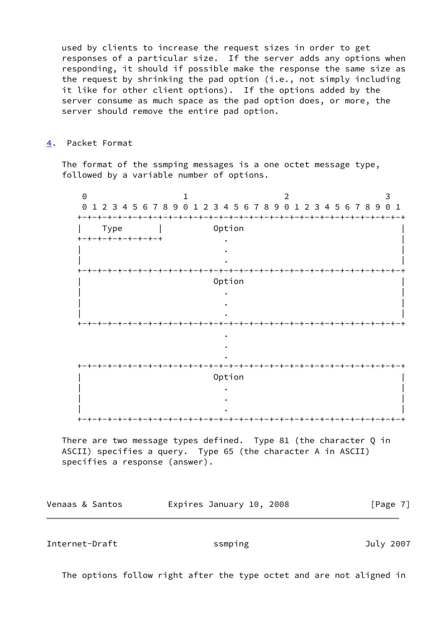used by clients to increase the request sizes in order to get responses of a particular size. If the server adds any options when responding, it should if possible make the response the same size as the request by shrinking the pad option (i.e., not simply including it like for other client options). If the options added by the server consume as much space as the pad option does, or more, the server should remove the entire pad option.

<span id="page-7-0"></span>[4](#page-7-0). Packet Format

 The format of the ssmping messages is a one octet message type, followed by a variable number of options.

0 1 2 3 0 1 2 3 4 5 6 7 8 9 0 1 2 3 4 5 6 7 8 9 0 1 2 3 4 5 6 7 8 9 0 1 +-+-+-+-+-+-+-+-+-+-+-+-+-+-+-+-+-+-+-+-+-+-+-+-+-+-+-+-+-+-+-+-+ | Type | Option |  $+ - + - + - + - + - + - + - +$  . | . | | . | +-+-+-+-+-+-+-+-+-+-+-+-+-+-+-+-+-+-+-+-+-+-+-+-+-+-+-+-+-+-+-+-+ | Option | | . | | . | | . | +-+-+-+-+-+-+-+-+-+-+-+-+-+-+-+-+-+-+-+-+-+-+-+-+-+-+-+-+-+-+-+-+ <u>. In the second contract of the second contract of the second contract of the second contract of the second contract of the second contract of the second contract of the second contract of the second contract of the secon</u> . <u>. In the second contract of the second contract of the second contract of the second contract of the second contract of the second contract of the second contract of the second contract of the second contract of the secon</u> +-+-+-+-+-+-+-+-+-+-+-+-+-+-+-+-+-+-+-+-+-+-+-+-+-+-+-+-+-+-+-+-+ | Option | | . | | . | | . | +-+-+-+-+-+-+-+-+-+-+-+-+-+-+-+-+-+-+-+-+-+-+-+-+-+-+-+-+-+-+-+-+

There are two message types defined. Type 81 (the character Q in ASCII) specifies a query. Type 65 (the character A in ASCII) specifies a response (answer).

Venaas & Santos **Expires January 10, 2008** [Page 7]

<span id="page-7-1"></span>Internet-Draft ssmping July 2007

The options follow right after the type octet and are not aligned in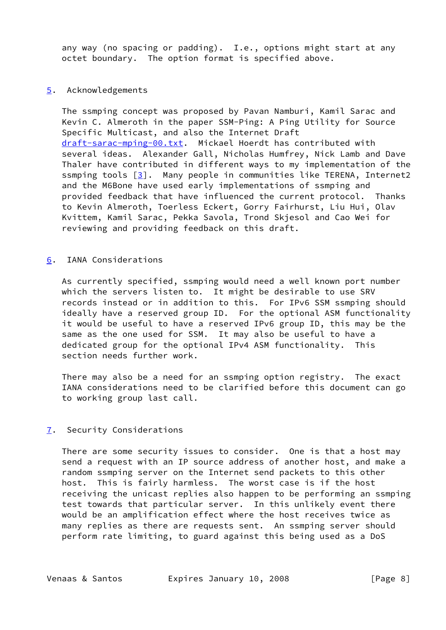any way (no spacing or padding). I.e., options might start at any octet boundary. The option format is specified above.

#### <span id="page-8-0"></span>[5](#page-8-0). Acknowledgements

 The ssmping concept was proposed by Pavan Namburi, Kamil Sarac and Kevin C. Almeroth in the paper SSM-Ping: A Ping Utility for Source Specific Multicast, and also the Internet Draft [draft-sarac-mping-00.txt](https://datatracker.ietf.org/doc/pdf/draft-sarac-mping-00.txt). Mickael Hoerdt has contributed with several ideas. Alexander Gall, Nicholas Humfrey, Nick Lamb and Dave Thaler have contributed in different ways to my implementation of the ssmping tools  $[3]$  $[3]$ . Many people in communities like TERENA, Internet2 and the M6Bone have used early implementations of ssmping and provided feedback that have influenced the current protocol. Thanks to Kevin Almeroth, Toerless Eckert, Gorry Fairhurst, Liu Hui, Olav Kvittem, Kamil Sarac, Pekka Savola, Trond Skjesol and Cao Wei for reviewing and providing feedback on this draft.

#### <span id="page-8-1"></span>[6](#page-8-1). IANA Considerations

 As currently specified, ssmping would need a well known port number which the servers listen to. It might be desirable to use SRV records instead or in addition to this. For IPv6 SSM ssmping should ideally have a reserved group ID. For the optional ASM functionality it would be useful to have a reserved IPv6 group ID, this may be the same as the one used for SSM. It may also be useful to have a dedicated group for the optional IPv4 ASM functionality. This section needs further work.

 There may also be a need for an ssmping option registry. The exact IANA considerations need to be clarified before this document can go to working group last call.

## <span id="page-8-2"></span>[7](#page-8-2). Security Considerations

 There are some security issues to consider. One is that a host may send a request with an IP source address of another host, and make a random ssmping server on the Internet send packets to this other host. This is fairly harmless. The worst case is if the host receiving the unicast replies also happen to be performing an ssmping test towards that particular server. In this unlikely event there would be an amplification effect where the host receives twice as many replies as there are requests sent. An ssmping server should perform rate limiting, to guard against this being used as a DoS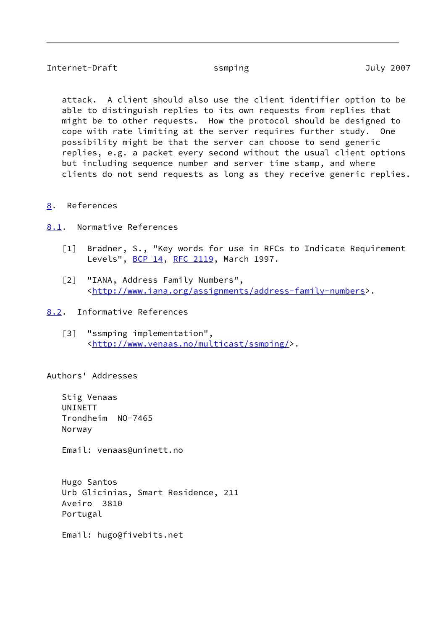# <span id="page-9-2"></span>Internet-Draft ssmping July 2007

 attack. A client should also use the client identifier option to be able to distinguish replies to its own requests from replies that might be to other requests. How the protocol should be designed to cope with rate limiting at the server requires further study. One possibility might be that the server can choose to send generic replies, e.g. a packet every second without the usual client options but including sequence number and server time stamp, and where clients do not send requests as long as they receive generic replies.

## <span id="page-9-1"></span>[8](#page-9-1). References

- <span id="page-9-3"></span><span id="page-9-0"></span>[8.1](#page-9-3). Normative References
	- [1] Bradner, S., "Key words for use in RFCs to Indicate Requirement Levels", [BCP 14](https://datatracker.ietf.org/doc/pdf/bcp14), [RFC 2119](https://datatracker.ietf.org/doc/pdf/rfc2119), March 1997.
	- [2] "IANA, Address Family Numbers", [<http://www.iana.org/assignments/address-family-numbers](http://www.iana.org/assignments/address-family-numbers)>.
- <span id="page-9-6"></span><span id="page-9-5"></span><span id="page-9-4"></span>[8.2](#page-9-4). Informative References
	- [3] "ssmping implementation", [<http://www.venaas.no/multicast/ssmping/](http://www.venaas.no/multicast/ssmping/)>.

Authors' Addresses

 Stig Venaas UNINETT Trondheim NO-7465 Norway

Email: venaas@uninett.no

 Hugo Santos Urb Glicinias, Smart Residence, 211 Aveiro 3810 Portugal

Email: hugo@fivebits.net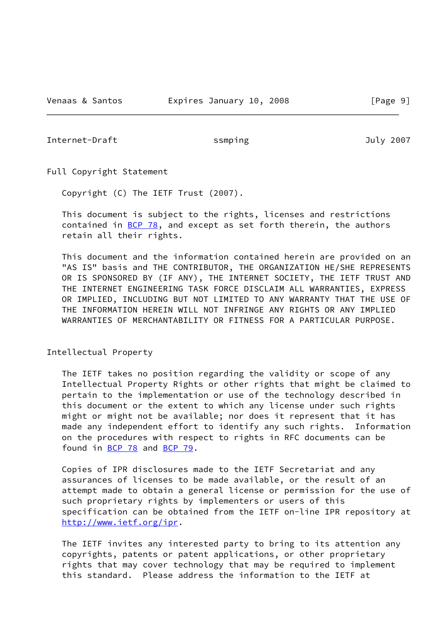<span id="page-10-0"></span>Internet-Draft ssmping 3007

Full Copyright Statement

Copyright (C) The IETF Trust (2007).

 This document is subject to the rights, licenses and restrictions contained in  $BCP$  78, and except as set forth therein, the authors retain all their rights.

 This document and the information contained herein are provided on an "AS IS" basis and THE CONTRIBUTOR, THE ORGANIZATION HE/SHE REPRESENTS OR IS SPONSORED BY (IF ANY), THE INTERNET SOCIETY, THE IETF TRUST AND THE INTERNET ENGINEERING TASK FORCE DISCLAIM ALL WARRANTIES, EXPRESS OR IMPLIED, INCLUDING BUT NOT LIMITED TO ANY WARRANTY THAT THE USE OF THE INFORMATION HEREIN WILL NOT INFRINGE ANY RIGHTS OR ANY IMPLIED WARRANTIES OF MERCHANTABILITY OR FITNESS FOR A PARTICULAR PURPOSE.

## Intellectual Property

 The IETF takes no position regarding the validity or scope of any Intellectual Property Rights or other rights that might be claimed to pertain to the implementation or use of the technology described in this document or the extent to which any license under such rights might or might not be available; nor does it represent that it has made any independent effort to identify any such rights. Information on the procedures with respect to rights in RFC documents can be found in [BCP 78](https://datatracker.ietf.org/doc/pdf/bcp78) and [BCP 79](https://datatracker.ietf.org/doc/pdf/bcp79).

 Copies of IPR disclosures made to the IETF Secretariat and any assurances of licenses to be made available, or the result of an attempt made to obtain a general license or permission for the use of such proprietary rights by implementers or users of this specification can be obtained from the IETF on-line IPR repository at <http://www.ietf.org/ipr>.

 The IETF invites any interested party to bring to its attention any copyrights, patents or patent applications, or other proprietary rights that may cover technology that may be required to implement this standard. Please address the information to the IETF at